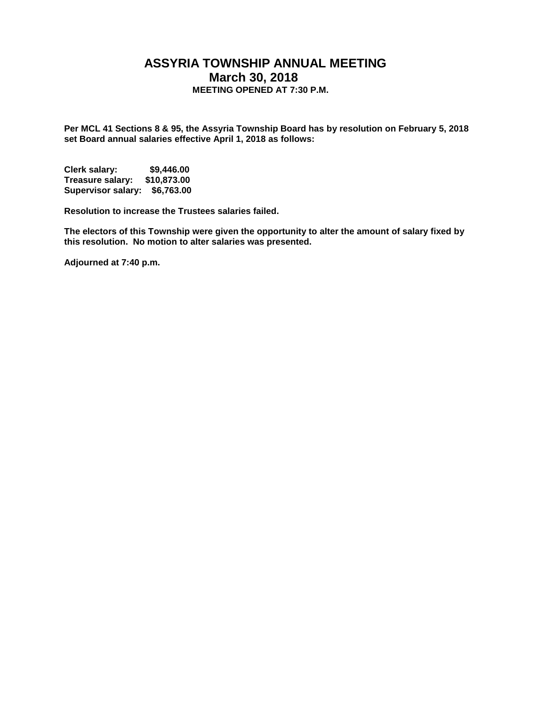## **ASSYRIA TOWNSHIP ANNUAL MEETING March 30, 2018 MEETING OPENED AT 7:30 P.M.**

**Per MCL 41 Sections 8 & 95, the Assyria Township Board has by resolution on February 5, 2018 set Board annual salaries effective April 1, 2018 as follows:**

**Clerk salary: \$9,446.00 Treasure salary: \$10,873.00 Supervisor salary: \$6,763.00**

**Resolution to increase the Trustees salaries failed.** 

**The electors of this Township were given the opportunity to alter the amount of salary fixed by this resolution. No motion to alter salaries was presented.** 

**Adjourned at 7:40 p.m.**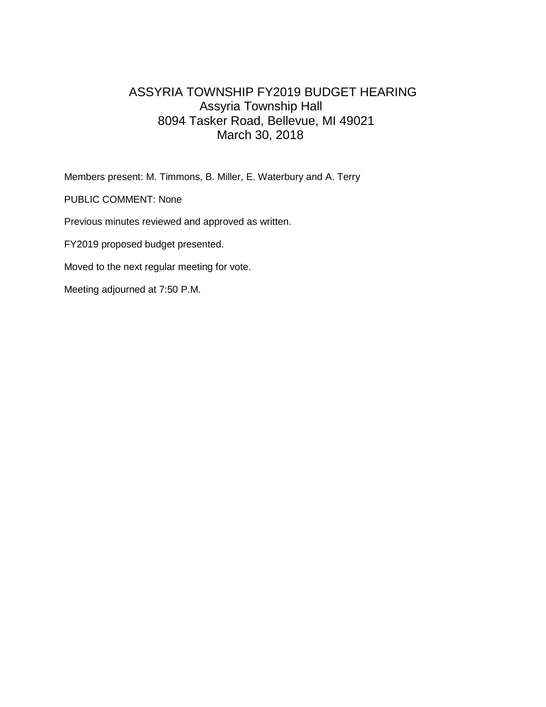## ASSYRIA TOWNSHIP FY2019 BUDGET HEARING Assyria Township Hall 8094 Tasker Road, Bellevue, MI 49021 March 30, 2018

Members present: M. Timmons, B. Miller, E. Waterbury and A. Terry

PUBLIC COMMENT: None

Previous minutes reviewed and approved as written.

FY2019 proposed budget presented.

Moved to the next regular meeting for vote.

Meeting adjourned at 7:50 P.M.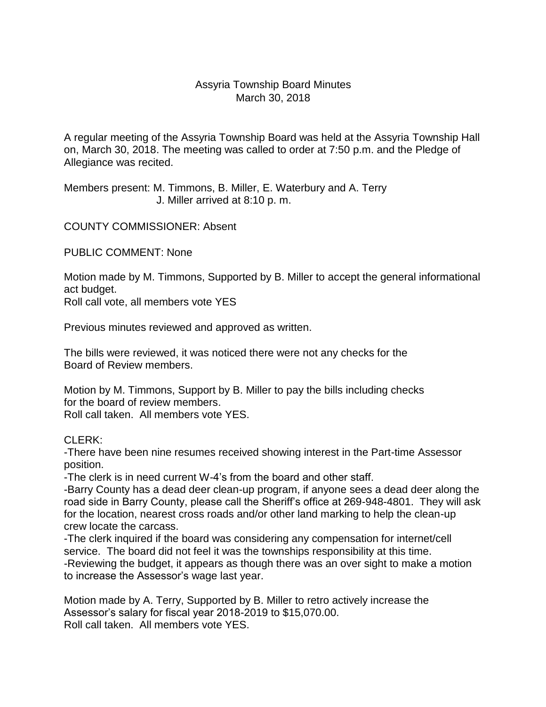## Assyria Township Board Minutes March 30, 2018

A regular meeting of the Assyria Township Board was held at the Assyria Township Hall on, March 30, 2018. The meeting was called to order at 7:50 p.m. and the Pledge of Allegiance was recited.

Members present: M. Timmons, B. Miller, E. Waterbury and A. Terry J. Miller arrived at 8:10 p. m.

COUNTY COMMISSIONER: Absent

PUBLIC COMMENT: None

Motion made by M. Timmons, Supported by B. Miller to accept the general informational act budget.

Roll call vote, all members vote YES

Previous minutes reviewed and approved as written.

The bills were reviewed, it was noticed there were not any checks for the Board of Review members.

Motion by M. Timmons, Support by B. Miller to pay the bills including checks for the board of review members. Roll call taken. All members vote YES.

CLERK:

-There have been nine resumes received showing interest in the Part-time Assessor position.

-The clerk is in need current W-4's from the board and other staff.

-Barry County has a dead deer clean-up program, if anyone sees a dead deer along the road side in Barry County, please call the Sheriff's office at 269-948-4801. They will ask for the location, nearest cross roads and/or other land marking to help the clean-up crew locate the carcass.

-The clerk inquired if the board was considering any compensation for internet/cell service. The board did not feel it was the townships responsibility at this time. -Reviewing the budget, it appears as though there was an over sight to make a motion to increase the Assessor's wage last year.

Motion made by A. Terry, Supported by B. Miller to retro actively increase the Assessor's salary for fiscal year 2018-2019 to \$15,070.00. Roll call taken. All members vote YES.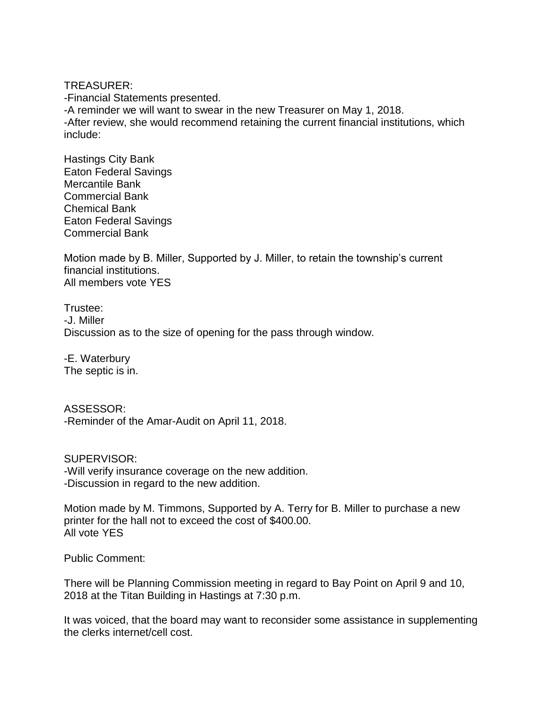TREASURER:

-Financial Statements presented. -A reminder we will want to swear in the new Treasurer on May 1, 2018. -After review, she would recommend retaining the current financial institutions, which include:

Hastings City Bank Eaton Federal Savings Mercantile Bank Commercial Bank Chemical Bank Eaton Federal Savings Commercial Bank

Motion made by B. Miller, Supported by J. Miller, to retain the township's current financial institutions. All members vote YES

Trustee: -J. Miller Discussion as to the size of opening for the pass through window.

-E. Waterbury The septic is in.

ASSESSOR: -Reminder of the Amar-Audit on April 11, 2018.

SUPERVISOR: -Will verify insurance coverage on the new addition. -Discussion in regard to the new addition.

Motion made by M. Timmons, Supported by A. Terry for B. Miller to purchase a new printer for the hall not to exceed the cost of \$400.00. All vote YES

Public Comment:

There will be Planning Commission meeting in regard to Bay Point on April 9 and 10, 2018 at the Titan Building in Hastings at 7:30 p.m.

It was voiced, that the board may want to reconsider some assistance in supplementing the clerks internet/cell cost.